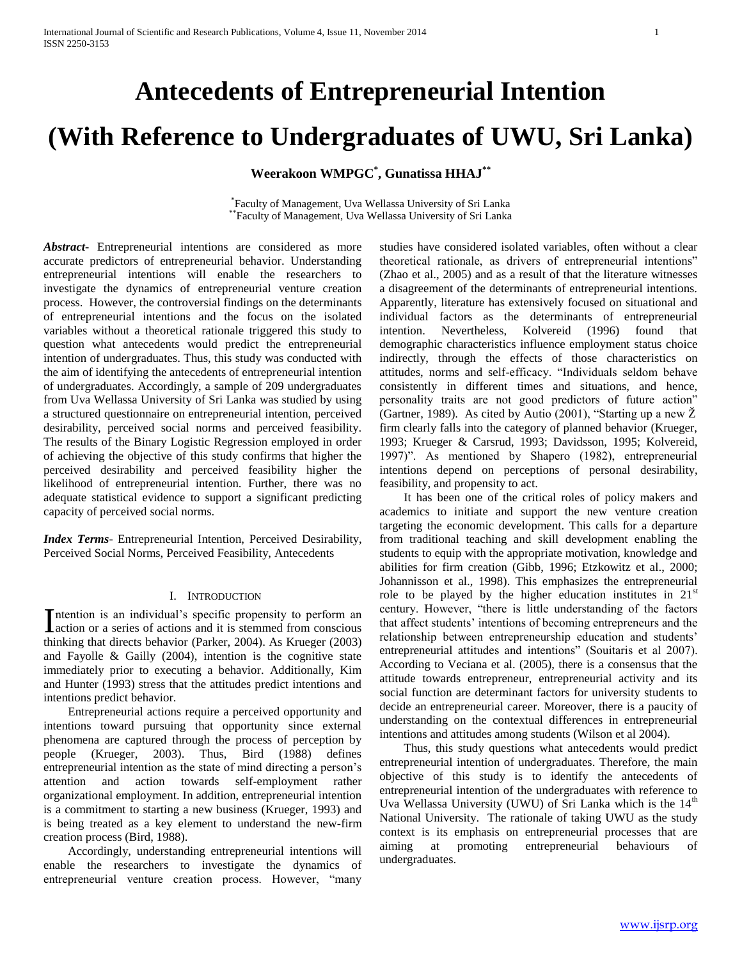## **Antecedents of Entrepreneurial Intention**

# **(With Reference to Undergraduates of UWU, Sri Lanka)**

**Weerakoon WMPGC\* , Gunatissa HHAJ\*\***

\* Faculty of Management, Uva Wellassa University of Sri Lanka \*\*Faculty of Management, Uva Wellassa University of Sri Lanka

*Abstract***-** Entrepreneurial intentions are considered as more accurate predictors of entrepreneurial behavior. Understanding entrepreneurial intentions will enable the researchers to investigate the dynamics of entrepreneurial venture creation process.However, the controversial findings on the determinants of entrepreneurial intentions and the focus on the isolated variables without a theoretical rationale triggered this study to question what antecedents would predict the entrepreneurial intention of undergraduates. Thus, this study was conducted with the aim of identifying the antecedents of entrepreneurial intention of undergraduates. Accordingly, a sample of 209 undergraduates from Uva Wellassa University of Sri Lanka was studied by using a structured questionnaire on entrepreneurial intention, perceived desirability, perceived social norms and perceived feasibility. The results of the Binary Logistic Regression employed in order of achieving the objective of this study confirms that higher the perceived desirability and perceived feasibility higher the likelihood of entrepreneurial intention. Further, there was no adequate statistical evidence to support a significant predicting capacity of perceived social norms.

*Index Terms*- Entrepreneurial Intention, Perceived Desirability, Perceived Social Norms, Perceived Feasibility, Antecedents

#### I. INTRODUCTION

ntention is an individual's specific propensity to perform an Intention is an individual's specific propensity to perform an action or a series of actions and it is stemmed from conscious thinking that directs behavior (Parker, 2004). As Krueger (2003) and Fayolle & Gailly (2004), intention is the cognitive state immediately prior to executing a behavior. Additionally, Kim and Hunter (1993) stress that the attitudes predict intentions and intentions predict behavior.

 Entrepreneurial actions require a perceived opportunity and intentions toward pursuing that opportunity since external phenomena are captured through the process of perception by people (Krueger, 2003). Thus, Bird (1988) defines entrepreneurial intention as the state of mind directing a person's attention and action towards self-employment rather organizational employment. In addition, entrepreneurial intention is a commitment to starting a new business (Krueger, 1993) and is being treated as a key element to understand the new-firm creation process (Bird, 1988).

 Accordingly, understanding entrepreneurial intentions will enable the researchers to investigate the dynamics of entrepreneurial venture creation process. However, "many

studies have considered isolated variables, often without a clear theoretical rationale, as drivers of entrepreneurial intentions" (Zhao et al., 2005) and as a result of that the literature witnesses a disagreement of the determinants of entrepreneurial intentions. Apparently, literature has extensively focused on situational and individual factors as the determinants of entrepreneurial intention. Nevertheless, Kolvereid (1996) found that demographic characteristics influence employment status choice indirectly, through the effects of those characteristics on attitudes, norms and self-efficacy. "Individuals seldom behave consistently in different times and situations, and hence, personality traits are not good predictors of future action" (Gartner, 1989). As cited by Autio (2001), "Starting up a new  $\check{Z}$ firm clearly falls into the category of planned behavior (Krueger, 1993; Krueger & Carsrud, 1993; Davidsson, 1995; Kolvereid, 1997)". As mentioned by Shapero (1982), entrepreneurial intentions depend on perceptions of personal desirability, feasibility, and propensity to act.

 It has been one of the critical roles of policy makers and academics to initiate and support the new venture creation targeting the economic development. This calls for a departure from traditional teaching and skill development enabling the students to equip with the appropriate motivation, knowledge and abilities for firm creation (Gibb, 1996; Etzkowitz et al., 2000; Johannisson et al., 1998). This emphasizes the entrepreneurial role to be played by the higher education institutes in  $21<sup>st</sup>$ century. However, "there is little understanding of the factors" that affect students' intentions of becoming entrepreneurs and the relationship between entrepreneurship education and students' entrepreneurial attitudes and intentions" (Souitaris et al 2007). According to Veciana et al. (2005), there is a consensus that the attitude towards entrepreneur, entrepreneurial activity and its social function are determinant factors for university students to decide an entrepreneurial career. Moreover, there is a paucity of understanding on the contextual differences in entrepreneurial intentions and attitudes among students (Wilson et al 2004).

 Thus, this study questions what antecedents would predict entrepreneurial intention of undergraduates. Therefore, the main objective of this study is to identify the antecedents of entrepreneurial intention of the undergraduates with reference to Uva Wellassa University (UWU) of Sri Lanka which is the  $14<sup>th</sup>$ National University. The rationale of taking UWU as the study context is its emphasis on entrepreneurial processes that are aiming at promoting entrepreneurial behaviours of undergraduates.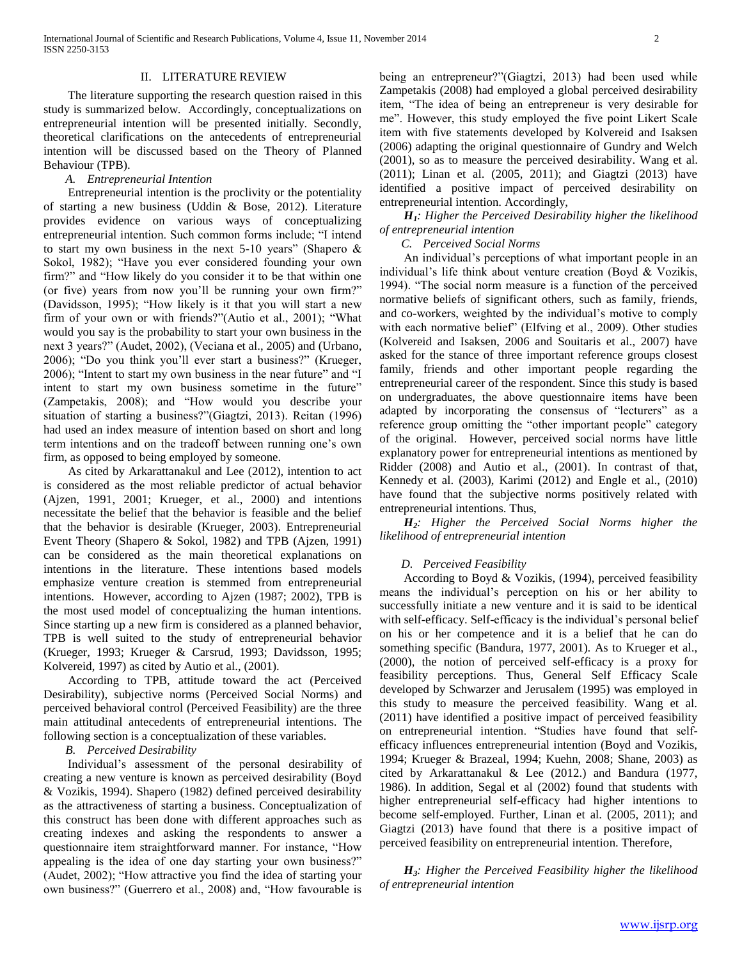#### II. LITERATURE REVIEW

 The literature supporting the research question raised in this study is summarized below. Accordingly, conceptualizations on entrepreneurial intention will be presented initially. Secondly, theoretical clarifications on the antecedents of entrepreneurial intention will be discussed based on the Theory of Planned Behaviour (TPB).

#### *A. Entrepreneurial Intention*

 Entrepreneurial intention is the proclivity or the potentiality of starting a new business (Uddin & Bose, 2012). Literature provides evidence on various ways of conceptualizing entrepreneurial intention. Such common forms include; "I intend to start my own business in the next 5-10 years" (Shapero  $\&$ Sokol, 1982); "Have you ever considered founding your own firm?" and "How likely do you consider it to be that within one (or five) years from now you'll be running your own firm?" (Davidsson, 1995); "How likely is it that you will start a new firm of your own or with friends?"(Autio et al., 2001); "What would you say is the probability to start your own business in the next 3 years?" (Audet, 2002), (Veciana et al., 2005) and (Urbano, 2006); "Do you think you'll ever start a business?" (Krueger, 2006); "Intent to start my own business in the near future" and "I intent to start my own business sometime in the future" (Zampetakis, 2008); and "How would you describe your situation of starting a business?"(Giagtzi, 2013). Reitan (1996) had used an index measure of intention based on short and long term intentions and on the tradeoff between running one's own firm, as opposed to being employed by someone.

 As cited by Arkarattanakul and Lee (2012), intention to act is considered as the most reliable predictor of actual behavior (Ajzen, 1991, 2001; Krueger, et al., 2000) and intentions necessitate the belief that the behavior is feasible and the belief that the behavior is desirable (Krueger, 2003). Entrepreneurial Event Theory (Shapero & Sokol, 1982) and TPB (Ajzen, 1991) can be considered as the main theoretical explanations on intentions in the literature. These intentions based models emphasize venture creation is stemmed from entrepreneurial intentions. However, according to Ajzen (1987; 2002), TPB is the most used model of conceptualizing the human intentions. Since starting up a new firm is considered as a planned behavior, TPB is well suited to the study of entrepreneurial behavior (Krueger, 1993; Krueger & Carsrud, 1993; Davidsson, 1995; Kolvereid, 1997) as cited by Autio et al., (2001).

 According to TPB, attitude toward the act (Perceived Desirability), subjective norms (Perceived Social Norms) and perceived behavioral control (Perceived Feasibility) are the three main attitudinal antecedents of entrepreneurial intentions. The following section is a conceptualization of these variables.

#### *B. Perceived Desirability*

 Individual's assessment of the personal desirability of creating a new venture is known as perceived desirability (Boyd & Vozikis, 1994). Shapero (1982) defined perceived desirability as the attractiveness of starting a business. Conceptualization of this construct has been done with different approaches such as creating indexes and asking the respondents to answer a questionnaire item straightforward manner. For instance, "How appealing is the idea of one day starting your own business?"  $(Audet, 2002)$ ; "How attractive you find the idea of starting your own business?" (Guerrero et al., 2008) and, "How favourable is

being an entrepreneur?"(Giagtzi, 2013) had been used while Zampetakis (2008) had employed a global perceived desirability item, "The idea of being an entrepreneur is very desirable for me". However, this study employed the five point Likert Scale item with five statements developed by Kolvereid and Isaksen (2006) adapting the original questionnaire of Gundry and Welch (2001), so as to measure the perceived desirability. Wang et al. (2011); Linan et al. (2005, 2011); and Giagtzi (2013) have identified a positive impact of perceived desirability on entrepreneurial intention. Accordingly,

### *H1: Higher the Perceived Desirability higher the likelihood of entrepreneurial intention*

#### *C. Perceived Social Norms*

 An individual's perceptions of what important people in an individual's life think about venture creation (Boyd & Vozikis, 1994). "The social norm measure is a function of the perceived normative beliefs of significant others, such as family, friends, and co-workers, weighted by the individual's motive to comply with each normative belief" (Elfving et al., 2009). Other studies (Kolvereid and Isaksen, 2006 and Souitaris et al., 2007) have asked for the stance of three important reference groups closest family, friends and other important people regarding the entrepreneurial career of the respondent. Since this study is based on undergraduates, the above questionnaire items have been adapted by incorporating the consensus of "lecturers" as a reference group omitting the "other important people" category of the original. However, perceived social norms have little explanatory power for entrepreneurial intentions as mentioned by Ridder (2008) and Autio et al., (2001). In contrast of that, Kennedy et al. (2003), Karimi (2012) and Engle et al., (2010) have found that the subjective norms positively related with entrepreneurial intentions. Thus,

 *H2: Higher the Perceived Social Norms higher the likelihood of entrepreneurial intention* 

#### *D. Perceived Feasibility*

 According to Boyd & Vozikis, (1994), perceived feasibility means the individual's perception on his or her ability to successfully initiate a new venture and it is said to be identical with self-efficacy. Self-efficacy is the individual's personal belief on his or her competence and it is a belief that he can do something specific (Bandura, 1977, 2001). As to Krueger et al., (2000), the notion of perceived self-efficacy is a proxy for feasibility perceptions. Thus, General Self Efficacy Scale developed by Schwarzer and Jerusalem (1995) was employed in this study to measure the perceived feasibility. Wang et al. (2011) have identified a positive impact of perceived feasibility on entrepreneurial intention. "Studies have found that selfefficacy influences entrepreneurial intention (Boyd and Vozikis, 1994; Krueger & Brazeal, 1994; Kuehn, 2008; Shane, 2003) as cited by Arkarattanakul & Lee (2012.) and Bandura (1977, 1986). In addition, Segal et al (2002) found that students with higher entrepreneurial self-efficacy had higher intentions to become self-employed. Further, Linan et al. (2005, 2011); and Giagtzi (2013) have found that there is a positive impact of perceived feasibility on entrepreneurial intention. Therefore,

 *H3: Higher the Perceived Feasibility higher the likelihood of entrepreneurial intention*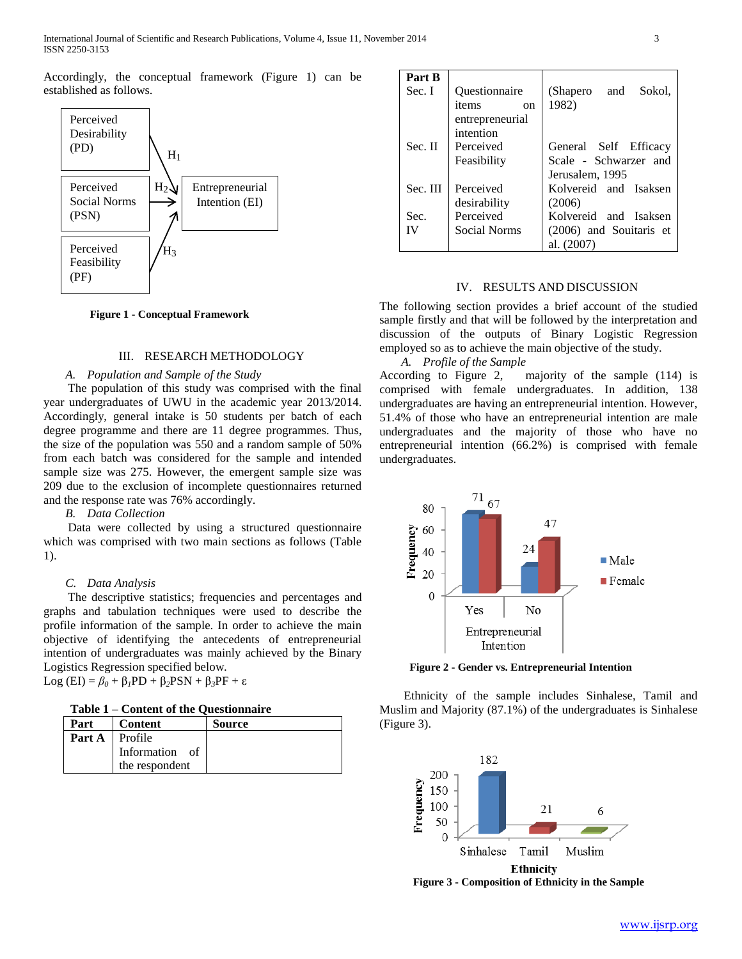Accordingly, the conceptual framework (Figure 1) can be established as follows.



**Figure 1 - Conceptual Framework**

#### III. RESEARCH METHODOLOGY

#### *A. Population and Sample of the Study*

 The population of this study was comprised with the final year undergraduates of UWU in the academic year 2013/2014. Accordingly, general intake is 50 students per batch of each degree programme and there are 11 degree programmes. Thus, the size of the population was 550 and a random sample of 50% from each batch was considered for the sample and intended sample size was 275. However, the emergent sample size was 209 due to the exclusion of incomplete questionnaires returned and the response rate was 76% accordingly.

*B. Data Collection* 

 Data were collected by using a structured questionnaire which was comprised with two main sections as follows (Table 1).

#### *C. Data Analysis*

 The descriptive statistics; frequencies and percentages and graphs and tabulation techniques were used to describe the profile information of the sample. In order to achieve the main objective of identifying the antecedents of entrepreneurial intention of undergraduates was mainly achieved by the Binary Logistics Regression specified below. Log (EI) = *β<sup>0</sup>* + β*1*PD + β*2*PSN + β*3*PF + ε

**Table 1 – Content of the Questionnaire** 

| $1$ ave $1 -$ content of the Question and |                                             |               |  |  |  |
|-------------------------------------------|---------------------------------------------|---------------|--|--|--|
| Part                                      | Content                                     | <b>Source</b> |  |  |  |
| Part A                                    | Profile<br>Information of<br>the respondent |               |  |  |  |

| Part B   |                        |                         |
|----------|------------------------|-------------------------|
| Sec. I   | Questionnaire          | Sokol,<br>(Shapero and  |
|          | items<br><sub>on</sub> | 1982)                   |
|          | entrepreneurial        |                         |
|          | intention              |                         |
| Sec. II  | Perceived              | General Self Efficacy   |
|          | Feasibility            | Scale - Schwarzer and   |
|          |                        | Jerusalem, 1995         |
| Sec. III | Perceived              | Kolvereid and Isaksen   |
|          | desirability           | (2006)                  |
| Sec.     | Perceived              | Kolvereid and Isaksen   |
| IV       | Social Norms           | (2006) and Souitaris et |
|          |                        | al. (2007)              |

#### IV. RESULTS AND DISCUSSION

The following section provides a brief account of the studied sample firstly and that will be followed by the interpretation and discussion of the outputs of Binary Logistic Regression employed so as to achieve the main objective of the study.

*A. Profile of the Sample* 

According to Figure 2, majority of the sample (114) is comprised with female undergraduates. In addition, 138 undergraduates are having an entrepreneurial intention. However, 51.4% of those who have an entrepreneurial intention are male undergraduates and the majority of those who have no entrepreneurial intention (66.2%) is comprised with female undergraduates.



**Figure 2 - Gender vs. Entrepreneurial Intention** 

 Ethnicity of the sample includes Sinhalese, Tamil and Muslim and Majority (87.1%) of the undergraduates is Sinhalese (Figure 3).



**Figure 3 - Composition of Ethnicity in the Sample**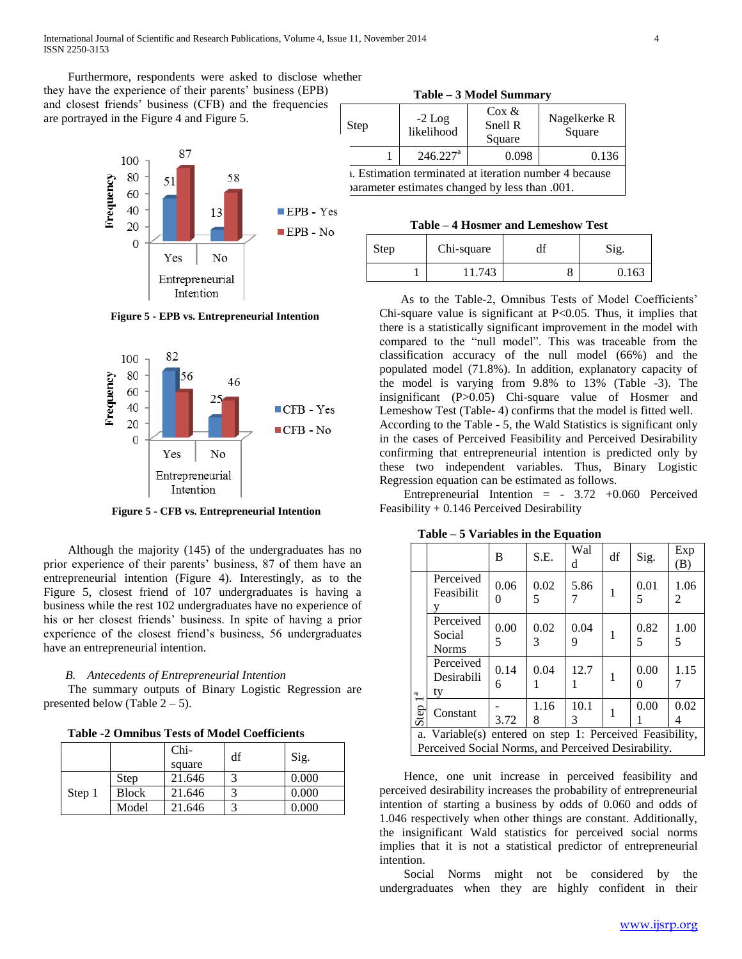Furthermore, respondents were asked to disclose whether they have the experience of their parents' business (EPB) and closest friends' business (CFB) and the frequencies are portrayed in the Figure 4 and Figure 5.



**Figure 5 - EPB vs. Entrepreneurial Intention**



**Figure 5 - CFB vs. Entrepreneurial Intention**

 Although the majority (145) of the undergraduates has no prior experience of their parents' business, 87 of them have an entrepreneurial intention (Figure 4). Interestingly, as to the Figure 5, closest friend of 107 undergraduates is having a business while the rest 102 undergraduates have no experience of his or her closest friends' business. In spite of having a prior experience of the closest friend's business, 56 undergraduates have an entrepreneurial intention.

### *B. Antecedents of Entrepreneurial Intention*

 The summary outputs of Binary Logistic Regression are presented below (Table  $2 - 5$ ).

**Table -2 Omnibus Tests of Model Coefficients**

|        |              | $Chi-$<br>square | df | Sig.  |
|--------|--------------|------------------|----|-------|
| Step 1 | Step         | 21.646           |    | 0.000 |
|        | <b>Block</b> | 21.646           |    | 0.000 |
|        | Model        | 21.646           | 3  | 0.000 |

**Table – 3 Model Summary**

| Step                                                                                                            | $-2$ Log<br>likelihood | $\cos \alpha$<br>Snell R<br>Square | Nagelkerke R<br>Square |  |  |  |
|-----------------------------------------------------------------------------------------------------------------|------------------------|------------------------------------|------------------------|--|--|--|
|                                                                                                                 | $246.227$ <sup>a</sup> | 0.098                              | 0.136                  |  |  |  |
| <i>i.</i> Estimation terminated at iteration number 4 because<br>parameter estimates changed by less than .001. |                        |                                    |                        |  |  |  |

| Table – 4 Hosmer and Lemeshow Test |
|------------------------------------|
|------------------------------------|

| <b>Step</b> | Chi-square |        | u. | Sig.  |  |
|-------------|------------|--------|----|-------|--|
|             |            | 11.743 |    | 0.163 |  |

 As to the Table-2, Omnibus Tests of Model Coefficients' Chi-square value is significant at P<0.05. Thus, it implies that there is a statistically significant improvement in the model with compared to the "null model". This was traceable from the classification accuracy of the null model (66%) and the populated model (71.8%). In addition, explanatory capacity of the model is varying from 9.8% to 13% (Table -3). The insignificant (P>0.05) Chi-square value of Hosmer and Lemeshow Test (Table- 4) confirms that the model is fitted well. According to the Table - 5, the Wald Statistics is significant only in the cases of Perceived Feasibility and Perceived Desirability confirming that entrepreneurial intention is predicted only by these two independent variables. Thus, Binary Logistic Regression equation can be estimated as follows.

Entrepreneurial Intention  $=$  - 3.72 +0.060 Perceived Feasibility + 0.146 Perceived Desirability

|                                                                                                                 |                                     | B         | S.E.      | Wal<br>d  | df | Sig.      | Exp<br>(B) |
|-----------------------------------------------------------------------------------------------------------------|-------------------------------------|-----------|-----------|-----------|----|-----------|------------|
| d<br>Step                                                                                                       | Perceived<br>Feasibilit             | 0.06      | 0.02<br>5 | 5.86      | 1  | 0.01<br>5 | 1.06<br>2  |
|                                                                                                                 | Perceived<br>Social<br><b>Norms</b> | 0.00<br>5 | 0.02<br>3 | 0.04<br>9 | 1  | 0.82<br>5 | 1.00<br>5  |
|                                                                                                                 | Perceived<br>Desirabili<br>ty       | 0.14<br>6 | 0.04      | 12.7      | 1  | 0.00      | 1.15       |
|                                                                                                                 | Constant                            | 3.72      | 1.16<br>8 | 10.1<br>3 | 1  | 0.00      | 0.02       |
| a. Variable(s) entered on step 1: Perceived Feasibility,<br>Perceived Social Norms, and Perceived Desirability. |                                     |           |           |           |    |           |            |

**Table – 5 Variables in the Equation**

 Hence, one unit increase in perceived feasibility and perceived desirability increases the probability of entrepreneurial intention of starting a business by odds of 0.060 and odds of 1.046 respectively when other things are constant. Additionally, the insignificant Wald statistics for perceived social norms implies that it is not a statistical predictor of entrepreneurial intention.

 Social Norms might not be considered by the undergraduates when they are highly confident in their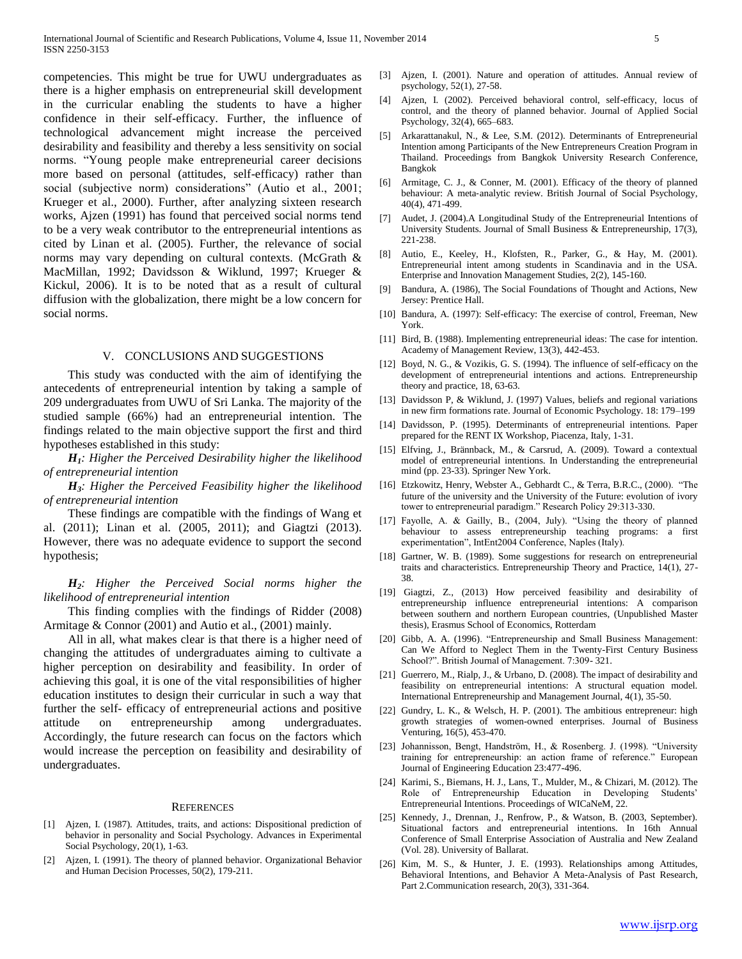competencies. This might be true for UWU undergraduates as there is a higher emphasis on entrepreneurial skill development in the curricular enabling the students to have a higher confidence in their self-efficacy. Further, the influence of technological advancement might increase the perceived desirability and feasibility and thereby a less sensitivity on social norms. "Young people make entrepreneurial career decisions more based on personal (attitudes, self-efficacy) rather than social (subjective norm) considerations" (Autio et al., 2001; Krueger et al., 2000). Further, after analyzing sixteen research works, Ajzen (1991) has found that perceived social norms tend to be a very weak contributor to the entrepreneurial intentions as cited by Linan et al. (2005). Further, the relevance of social norms may vary depending on cultural contexts. (McGrath & MacMillan, 1992; Davidsson & Wiklund, 1997; Krueger & Kickul, 2006). It is to be noted that as a result of cultural diffusion with the globalization, there might be a low concern for social norms.

#### V. CONCLUSIONS AND SUGGESTIONS

 This study was conducted with the aim of identifying the antecedents of entrepreneurial intention by taking a sample of 209 undergraduates from UWU of Sri Lanka. The majority of the studied sample (66%) had an entrepreneurial intention. The findings related to the main objective support the first and third hypotheses established in this study:

 *H1: Higher the Perceived Desirability higher the likelihood of entrepreneurial intention*

 *H3: Higher the Perceived Feasibility higher the likelihood of entrepreneurial intention*

 These findings are compatible with the findings of Wang et al. (2011); Linan et al. (2005, 2011); and Giagtzi (2013). However, there was no adequate evidence to support the second hypothesis;

 *H2: Higher the Perceived Social norms higher the likelihood of entrepreneurial intention*

 This finding complies with the findings of Ridder (2008) Armitage & Connor (2001) and Autio et al., (2001) mainly.

 All in all, what makes clear is that there is a higher need of changing the attitudes of undergraduates aiming to cultivate a higher perception on desirability and feasibility. In order of achieving this goal, it is one of the vital responsibilities of higher education institutes to design their curricular in such a way that further the self- efficacy of entrepreneurial actions and positive attitude on entrepreneurship among undergraduates. Accordingly, the future research can focus on the factors which would increase the perception on feasibility and desirability of undergraduates.

#### **REFERENCES**

- [1] Ajzen, I. (1987). Attitudes, traits, and actions: Dispositional prediction of behavior in personality and Social Psychology. Advances in Experimental Social Psychology, 20(1), 1-63.
- [2] Ajzen, I. (1991). The theory of planned behavior. Organizational Behavior and Human Decision Processes, 50(2), 179-211.
- [3] Ajzen, I. (2001). Nature and operation of attitudes. Annual review of psychology, 52(1), 27-58.
- [4] Ajzen, I. (2002). Perceived behavioral control, self-efficacy, locus of control, and the theory of planned behavior. Journal of Applied Social Psychology, 32(4), 665–683.
- [5] Arkarattanakul, N., & Lee, S.M. (2012). Determinants of Entrepreneurial Intention among Participants of the New Entrepreneurs Creation Program in Thailand. Proceedings from Bangkok University Research Conference, Bangkok
- [6] Armitage, C. J., & Conner, M. (2001). Efficacy of the theory of planned behaviour: A meta‐analytic review. British Journal of Social Psychology, 40(4), 471-499.
- [7] Audet, J. (2004).A Longitudinal Study of the Entrepreneurial Intentions of University Students. Journal of Small Business & Entrepreneurship, 17(3), 221-238.
- [8] Autio, E., Keeley, H., Klofsten, R., Parker, G., & Hay, M. (2001). Entrepreneurial intent among students in Scandinavia and in the USA. Enterprise and Innovation Management Studies, 2(2), 145-160.
- [9] Bandura, A. (1986), The Social Foundations of Thought and Actions, New Jersey: Prentice Hall.
- [10] Bandura, A. (1997): Self-efficacy: The exercise of control, Freeman, New York.
- [11] Bird, B. (1988). Implementing entrepreneurial ideas: The case for intention. Academy of Management Review, 13(3), 442-453.
- [12] Boyd, N. G., & Vozikis, G. S. (1994). The influence of self-efficacy on the development of entrepreneurial intentions and actions. Entrepreneurship theory and practice, 18, 63-63.
- [13] Davidsson P, & Wiklund, J. (1997) Values, beliefs and regional variations in new firm formations rate. Journal of Economic Psychology. 18: 179–199
- [14] Davidsson, P. (1995). Determinants of entrepreneurial intentions. Paper prepared for the RENT IX Workshop, Piacenza, Italy, 1-31.
- [15] Elfving, J., Brännback, M., & Carsrud, A. (2009). Toward a contextual model of entrepreneurial intentions. In Understanding the entrepreneurial mind (pp. 23-33). Springer New York.
- [16] Etzkowitz, Henry, Webster A., Gebhardt C., & Terra, B.R.C., (2000). "The future of the university and the University of the Future: evolution of ivory tower to entrepreneurial paradigm." Research Policy 29:313-330.
- [17] Fayolle, A. & Gailly, B., (2004, July). "Using the theory of planned behaviour to assess entrepreneurship teaching programs: a first experimentation", IntEnt2004 Conference, Naples (Italy).
- [18] Gartner, W. B. (1989). Some suggestions for research on entrepreneurial traits and characteristics. Entrepreneurship Theory and Practice, 14(1), 27- 38.
- [19] Giagtzi, Z., (2013) How perceived feasibility and desirability of entrepreneurship influence entrepreneurial intentions: A comparison between southern and northern European countries, (Unpublished Master thesis), Erasmus School of Economics, Rotterdam
- [20] Gibb, A. A. (1996). "Entrepreneurship and Small Business Management: Can We Afford to Neglect Them in the Twenty-First Century Business School?". British Journal of Management. 7:309-321.
- [21] Guerrero, M., Rialp, J., & Urbano, D. (2008). The impact of desirability and feasibility on entrepreneurial intentions: A structural equation model. International Entrepreneurship and Management Journal, 4(1), 35-50.
- [22] Gundry, L. K., & Welsch, H. P. (2001). The ambitious entrepreneur: high growth strategies of women-owned enterprises. Journal of Business Venturing, 16(5), 453-470.
- [23] Johannisson, Bengt, Handström, H., & Rosenberg. J. (1998). "University training for entrepreneurship: an action frame of reference." European Journal of Engineering Education 23:477-496.
- [24] Karimi, S., Biemans, H. J., Lans, T., Mulder, M., & Chizari, M. (2012). The Role of Entrepreneurship Education in Developing Students' Entrepreneurial Intentions. Proceedings of WICaNeM, 22.
- [25] Kennedy, J., Drennan, J., Renfrow, P., & Watson, B. (2003, September). Situational factors and entrepreneurial intentions. In 16th Annual Conference of Small Enterprise Association of Australia and New Zealand (Vol. 28). University of Ballarat.
- [26] Kim, M. S., & Hunter, J. E. (1993). Relationships among Attitudes, Behavioral Intentions, and Behavior A Meta-Analysis of Past Research, Part 2.Communication research, 20(3), 331-364.